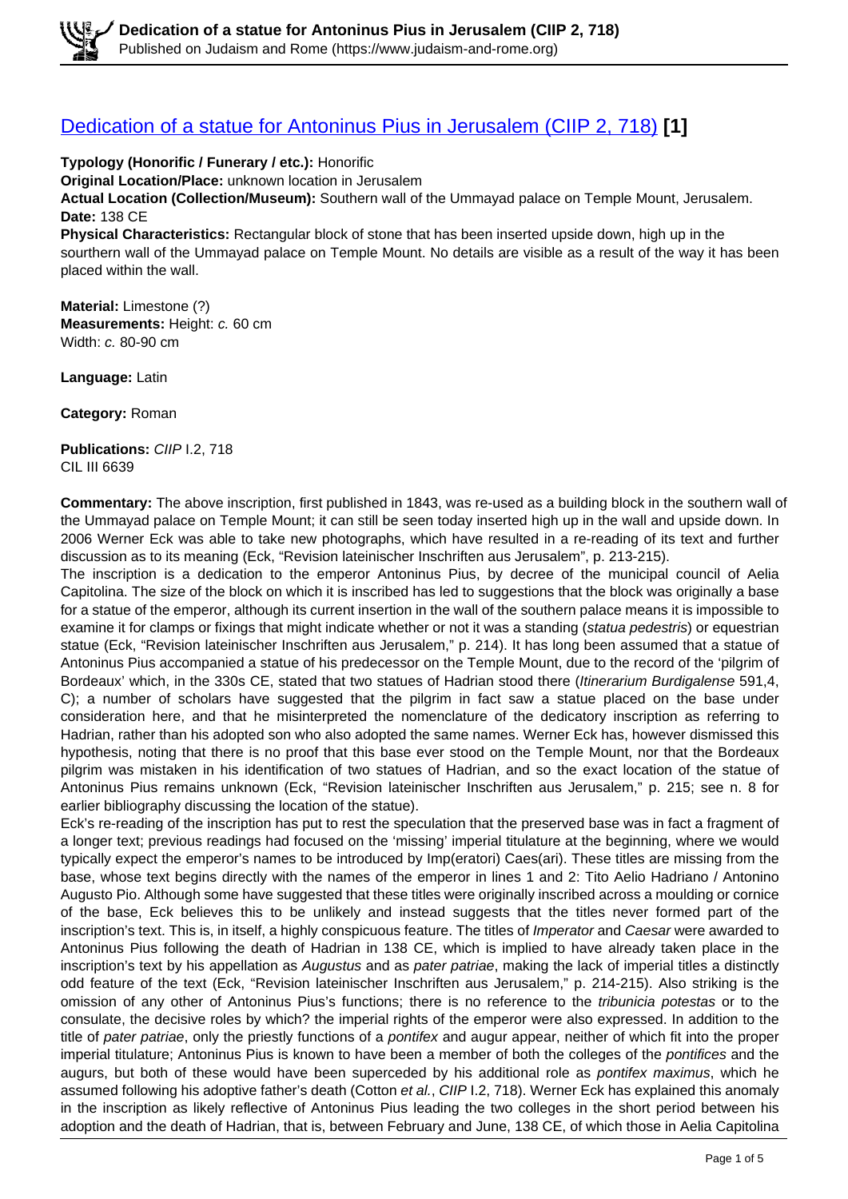#### [Dedication of a statue for Antoninus Pius in Jerusalem \(CIIP 2, 718\)](https://www.judaism-and-rome.org/dedication-statue-antoninus-pius-jerusalem-ciip-2-718) **[1]**

**Typology (Honorific / Funerary / etc.):** Honorific **Original Location/Place:** unknown location in Jerusalem **Actual Location (Collection/Museum):** Southern wall of the Ummayad palace on Temple Mount, Jerusalem. **Date:** 138 CE **Physical Characteristics:** Rectangular block of stone that has been inserted upside down, high up in the sourthern wall of the Ummayad palace on Temple Mount. No details are visible as a result of the way it has been placed within the wall.

**Material:** Limestone (?) **Measurements:** Height: c. 60 cm Width: c. 80-90 cm

**Language:** Latin

**Category:** Roman

**Publications:** CIIP I.2, 718 CIL III 6639

**Commentary:** The above inscription, first published in 1843, was re-used as a building block in the southern wall of the Ummayad palace on Temple Mount; it can still be seen today inserted high up in the wall and upside down. In 2006 Werner Eck was able to take new photographs, which have resulted in a re-reading of its text and further discussion as to its meaning (Eck, "Revision lateinischer Inschriften aus Jerusalem", p. 213-215).

The inscription is a dedication to the emperor Antoninus Pius, by decree of the municipal council of Aelia Capitolina. The size of the block on which it is inscribed has led to suggestions that the block was originally a base for a statue of the emperor, although its current insertion in the wall of the southern palace means it is impossible to examine it for clamps or fixings that might indicate whether or not it was a standing (statua pedestris) or equestrian statue (Eck, "Revision lateinischer Inschriften aus Jerusalem," p. 214). It has long been assumed that a statue of Antoninus Pius accompanied a statue of his predecessor on the Temple Mount, due to the record of the 'pilgrim of Bordeaux' which, in the 330s CE, stated that two statues of Hadrian stood there (Itinerarium Burdigalense 591,4, C); a number of scholars have suggested that the pilgrim in fact saw a statue placed on the base under consideration here, and that he misinterpreted the nomenclature of the dedicatory inscription as referring to Hadrian, rather than his adopted son who also adopted the same names. Werner Eck has, however dismissed this hypothesis, noting that there is no proof that this base ever stood on the Temple Mount, nor that the Bordeaux pilgrim was mistaken in his identification of two statues of Hadrian, and so the exact location of the statue of Antoninus Pius remains unknown (Eck, "Revision lateinischer Inschriften aus Jerusalem," p. 215; see n. 8 for earlier bibliography discussing the location of the statue).

Eck's re-reading of the inscription has put to rest the speculation that the preserved base was in fact a fragment of a longer text; previous readings had focused on the 'missing' imperial titulature at the beginning, where we would typically expect the emperor's names to be introduced by Imp(eratori) Caes(ari). These titles are missing from the base, whose text begins directly with the names of the emperor in lines 1 and 2: Tito Aelio Hadriano / Antonino Augusto Pio. Although some have suggested that these titles were originally inscribed across a moulding or cornice of the base, Eck believes this to be unlikely and instead suggests that the titles never formed part of the inscription's text. This is, in itself, a highly conspicuous feature. The titles of Imperator and Caesar were awarded to Antoninus Pius following the death of Hadrian in 138 CE, which is implied to have already taken place in the inscription's text by his appellation as Augustus and as pater patriae, making the lack of imperial titles a distinctly odd feature of the text (Eck, "Revision lateinischer Inschriften aus Jerusalem," p. 214-215). Also striking is the omission of any other of Antoninus Pius's functions; there is no reference to the tribunicia potestas or to the consulate, the decisive roles by which? the imperial rights of the emperor were also expressed. In addition to the title of pater patriae, only the priestly functions of a pontifex and augur appear, neither of which fit into the proper imperial titulature; Antoninus Pius is known to have been a member of both the colleges of the pontifices and the augurs, but both of these would have been superceded by his additional role as pontifex maximus, which he assumed following his adoptive father's death (Cotton et al., CIIP I.2, 718). Werner Eck has explained this anomaly in the inscription as likely reflective of Antoninus Pius leading the two colleges in the short period between his adoption and the death of Hadrian, that is, between February and June, 138 CE, of which those in Aelia Capitolina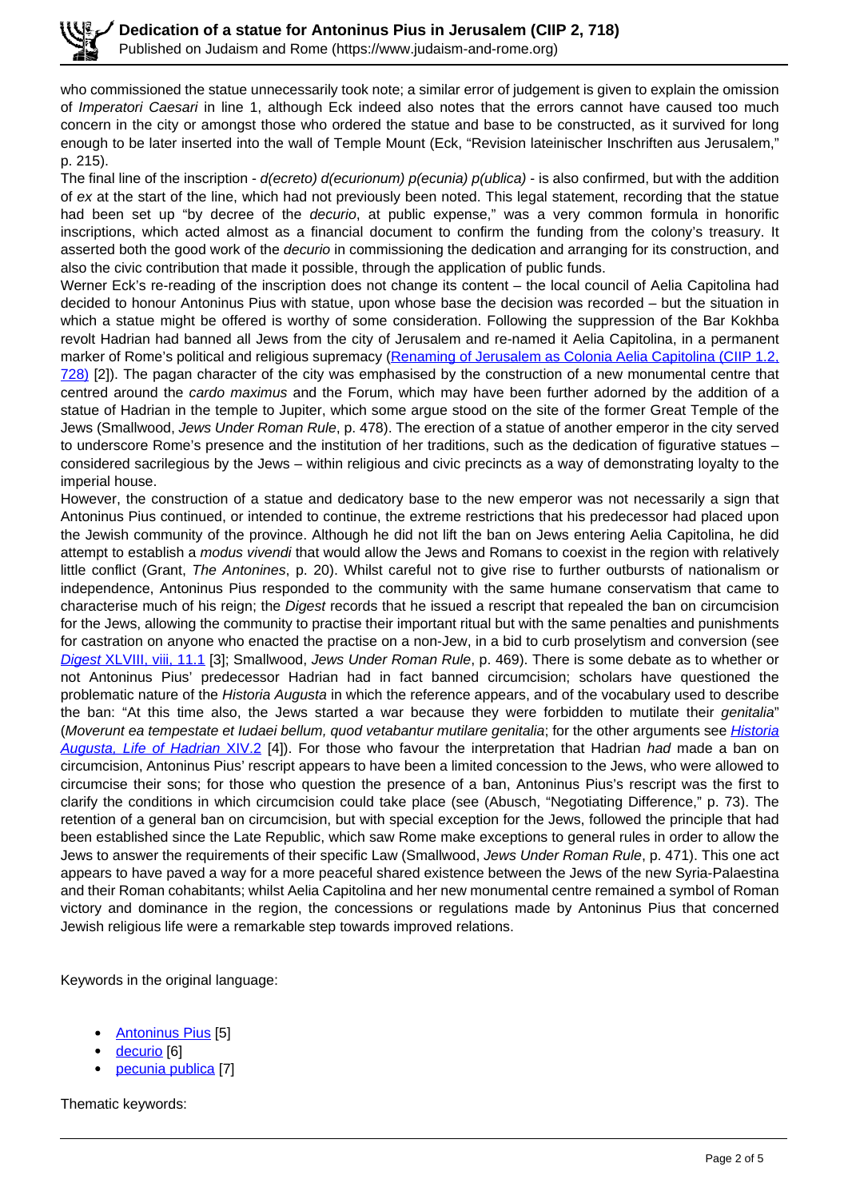who commissioned the statue unnecessarily took note; a similar error of judgement is given to explain the omission of *Imperatori Caesari* in line 1, although Eck indeed also notes that the errors cannot have caused too much concern in the city or amongst those who ordered the statue and base to be constructed, as it survived for long enough to be later inserted into the wall of Temple Mount (Eck, "Revision lateinischer Inschriften aus Jerusalem," p. 215).

The final line of the inscription -  $d(ecrete)$   $d(ecurionum)$   $p(ecunia)$   $p(ublica)$  - is also confirmed, but with the addition of ex at the start of the line, which had not previously been noted. This legal statement, recording that the statue had been set up "by decree of the *decurio*, at public expense," was a very common formula in honorific inscriptions, which acted almost as a financial document to confirm the funding from the colony's treasury. It asserted both the good work of the *decurio* in commissioning the dedication and arranging for its construction, and also the civic contribution that made it possible, through the application of public funds.

Werner Eck's re-reading of the inscription does not change its content – the local council of Aelia Capitolina had decided to honour Antoninus Pius with statue, upon whose base the decision was recorded – but the situation in which a statue might be offered is worthy of some consideration. Following the suppression of the Bar Kokhba revolt Hadrian had banned all Jews from the city of Jerusalem and re-named it Aelia Capitolina, in a permanent marker of Rome's political and religious supremacy (Renaming of Jerusalem as Colonia Aelia Capitolina (CIIP 1.2, 728) [2]). The pagan character of the city was emphasised by the construction of a new monumental centre that centred around the cardo maximus and the Forum, which may have been further adorned by the addition of a statue of Hadrian in the temple to Jupiter, which some argue stood on the site of the former Great Temple of the Jews (Smallwood, Jews Under Roman Rule, p. 478). The erection of a statue of another emperor in the city served to underscore Rome's presence and the institution of her traditions, such as the dedication of figurative statues – considered sacrilegious by the Jews – within religious and civic precincts as a way of demonstrating loyalty to the imperial house.

However, the construction of a statue and dedicatory base to the new emperor was not necessarily a sign that Antoninus Pius continued, or intended to continue, the extreme restrictions that his predecessor had placed upon the Jewish community of the province. Although he did not lift the ban on Jews entering Aelia Capitolina, he did attempt to establish a modus vivendi that would allow the Jews and Romans to coexist in the region with relatively little conflict (Grant, The Antonines, p. 20). Whilst careful not to give rise to further outbursts of nationalism or independence, Antoninus Pius responded to the community with the same humane conservatism that came to characterise much of his reign; the Digest records that he issued a rescript that repealed the ban on circumcision for the Jews, allowing the community to practise their important ritual but with the same penalties and punishments for castration on anyone who enacted the practise on a non-Jew, in a bid to curb proselytism and conversion (see Digest XLVIII, viii, 11.1 [3]; Smallwood, Jews Under Roman Rule, p. 469). There is some debate as to whether or not Antoninus Pius' predecessor Hadrian had in fact banned circumcision; scholars have questioned the problematic nature of the Historia Augusta in which the reference appears, and of the vocabulary used to describe the ban: "At this time also, the Jews started a war because they were forbidden to mutilate their genitalia" (Moverunt ea tempestate et Iudaei bellum, quod vetabantur mutilare genitalia; for the other arguments see Historia Augusta, Life of Hadrian XIV.2 [4]). For those who favour the interpretation that Hadrian had made a ban on circumcision, Antoninus Pius' rescript appears to have been a limited concession to the Jews, who were allowed to circumcise their sons; for those who question the presence of a ban, Antoninus Pius's rescript was the first to clarify the conditions in which circumcision could take place (see (Abusch, "Negotiating Difference," p. 73). The retention of a general ban on circumcision, but with special exception for the Jews, followed the principle that had been established since the Late Republic, which saw Rome make exceptions to general rules in order to allow the Jews to answer the requirements of their specific Law (Smallwood, Jews Under Roman Rule, p. 471). This one act appears to have paved a way for a more peaceful shared existence between the Jews of the new Syria-Palaestina and their Roman cohabitants; whilst Aelia Capitolina and her new monumental centre remained a symbol of Roman victory and dominance in the region, the concessions or regulations made by Antoninus Pius that concerned Jewish religious life were a remarkable step towards improved relations.

Keywords in the original language:

- Antoninus Pius [5]
- decurio [6]
- pecunia publica [7]

Thematic keywords: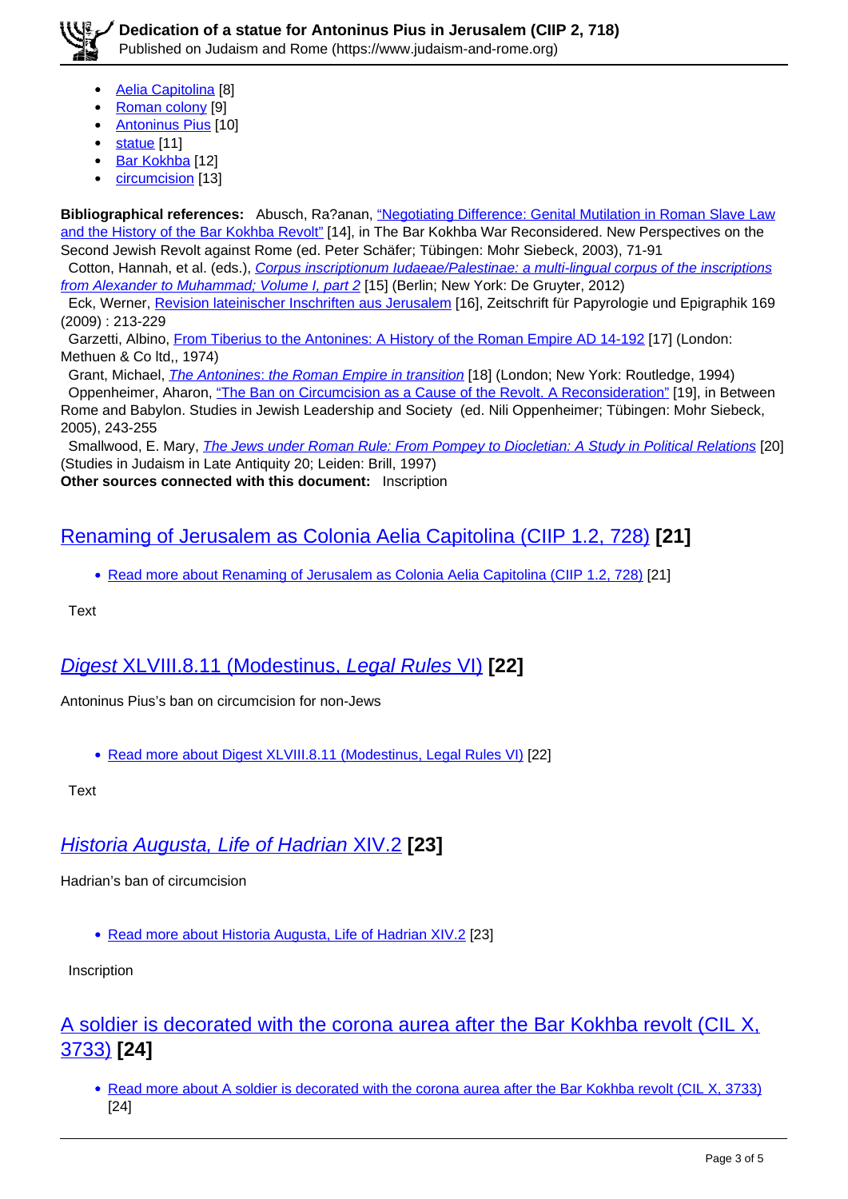- Aelia Capitolina [8]
- Roman colony [9]
- Antoninus Pius [10]
- statue [11]
- Bar Kokhba [12]
- circumcision [13]

**Bibliographical references:** Abusch, Ra?anan, "Negotiating Difference: Genital Mutilation in Roman Slave Law and the History of the Bar Kokhba Revolt" [14], in The Bar Kokhba War Reconsidered. New Perspectives on the Second Jewish Revolt against Rome (ed. Peter Schäfer; Tübingen: Mohr Siebeck, 2003), 71-91

Cotton, Hannah, et al. (eds.), Corpus inscriptionum Iudaeae/Palestinae: a multi-lingual corpus of the inscriptions from Alexander to Muhammad; Volume I, part 2 [15] (Berlin; New York: De Gruyter, 2012)

 Eck, Werner, Revision lateinischer Inschriften aus Jerusalem [16], Zeitschrift für Papyrologie und Epigraphik 169 (2009) : 213-229

 Garzetti, Albino, From Tiberius to the Antonines: A History of the Roman Empire AD 14-192 [17] (London: Methuen & Co ltd,, 1974)

Grant, Michael, *The Antonines: the Roman Empire in transition* [18] (London; New York: Routledge, 1994) Oppenheimer, Aharon, "The Ban on Circumcision as a Cause of the Revolt. A Reconsideration" [19], in Between Rome and Babylon. Studies in Jewish Leadership and Society (ed. Nili Oppenheimer; Tübingen: Mohr Siebeck, 2005), 243-255

Smallwood, E. Mary, *The Jews under Roman Rule: From Pompey to Diocletian: A Study in Political Relations* [20] (Studies in Judaism in Late Antiquity 20; Leiden: Brill, 1997)

**Other sources connected with this document:** Inscription

### Renaming of Jerusalem as Colonia Aelia Capitolina (CIIP 1.2, 728) **[21]**

• Read more about Renaming of Jerusalem as Colonia Aelia Capitolina (CIIP 1.2, 728) [21]

**Text** 

## Digest XLVIII.8.11 (Modestinus, Legal Rules VI) **[22]**

Antoninus Pius's ban on circumcision for non-Jews

• Read more about Digest XLVIII.8.11 (Modestinus, Legal Rules VI) [22]

**Text** 

# Historia Augusta, Life of Hadrian XIV.2 **[23]**

Hadrian's ban of circumcision

Read more about Historia Augusta, Life of Hadrian XIV.2 [23]

Inscription

### A soldier is decorated with the corona aurea after the Bar Kokhba revolt (CIL X, 3733) **[24]**

• Read more about A soldier is decorated with the corona aurea after the Bar Kokhba revolt (CIL X, 3733) [24]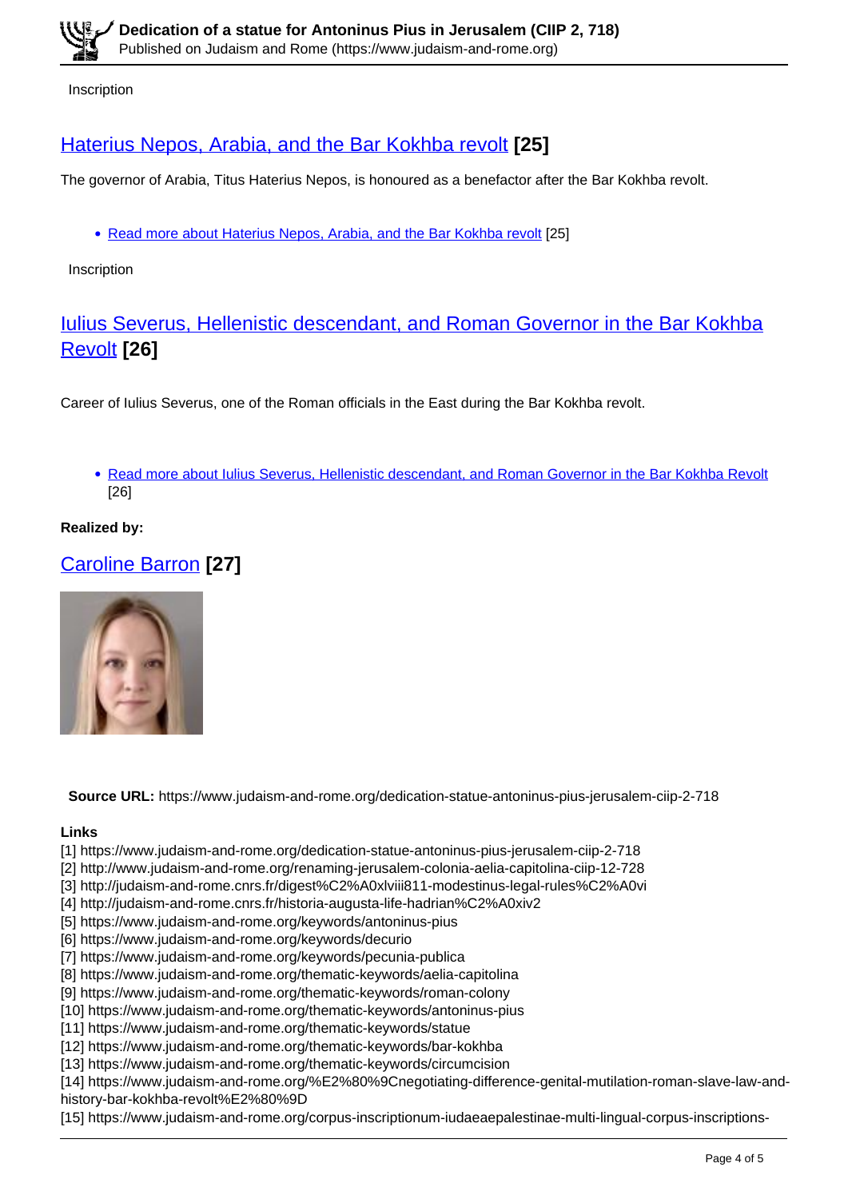**Inscription** 

## Haterius Nepos, Arabia, and the Bar Kokhba revolt **[25]**

The governor of Arabia, Titus Haterius Nepos, is honoured as a benefactor after the Bar Kokhba revolt.

• Read more about Haterius Nepos, Arabia, and the Bar Kokhba revolt [25]

Inscription

#### Iulius Severus, Hellenistic descendant, and Roman Governor in the Bar Kokhba Revolt **[26]**

Career of Iulius Severus, one of the Roman officials in the East during the Bar Kokhba revolt.

• Read more about Iulius Severus, Hellenistic descendant, and Roman Governor in the Bar Kokhba Revolt [26]

**Realized by:** 

## Caroline Barron **[27]**



**Source URL:** https://www.judaism-and-rome.org/dedication-statue-antoninus-pius-jerusalem-ciip-2-718

#### **Links**

- [1] https://www.judaism-and-rome.org/dedication-statue-antoninus-pius-jerusalem-ciip-2-718
- [2] http://www.judaism-and-rome.org/renaming-jerusalem-colonia-aelia-capitolina-ciip-12-728
- [3] http://judaism-and-rome.cnrs.fr/digest%C2%A0xlviii811-modestinus-legal-rules%C2%A0vi
- [4] http://judaism-and-rome.cnrs.fr/historia-augusta-life-hadrian%C2%A0xiv2
- [5] https://www.judaism-and-rome.org/keywords/antoninus-pius
- [6] https://www.judaism-and-rome.org/keywords/decurio
- [7] https://www.judaism-and-rome.org/keywords/pecunia-publica
- [8] https://www.judaism-and-rome.org/thematic-keywords/aelia-capitolina
- [9] https://www.judaism-and-rome.org/thematic-keywords/roman-colony
- [10] https://www.judaism-and-rome.org/thematic-keywords/antoninus-pius
- [11] https://www.judaism-and-rome.org/thematic-keywords/statue
- [12] https://www.judaism-and-rome.org/thematic-keywords/bar-kokhba
- [13] https://www.judaism-and-rome.org/thematic-keywords/circumcision
- [14] https://www.judaism-and-rome.org/%E2%80%9Cnegotiating-difference-genital-mutilation-roman-slave-law-and-
- history-bar-kokhba-revolt%E2%80%9D
- [15] https://www.judaism-and-rome.org/corpus-inscriptionum-iudaeaepalestinae-multi-lingual-corpus-inscriptions-